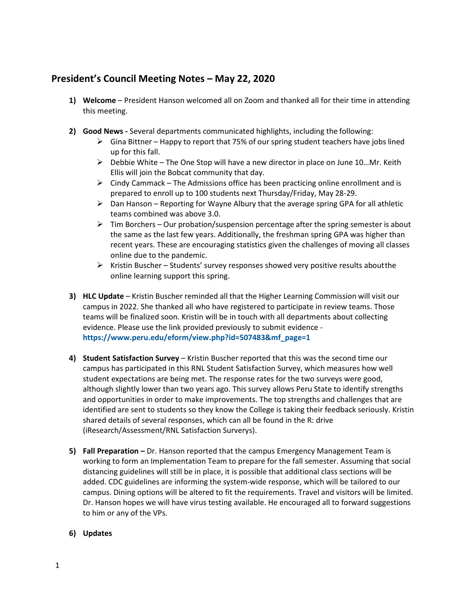## **President's Council Meeting Notes – May 22, 2020**

- **1) Welcome**  President Hanson welcomed all on Zoom and thanked all for their time in attending this meeting.
- **2) Good News -** Several departments communicated highlights, including the following:
	- $\triangleright$  Gina Bittner Happy to report that 75% of our spring student teachers have jobs lined up for this fall.
	- $\triangleright$  Debbie White The One Stop will have a new director in place on June 10...Mr. Keith Ellis will join the Bobcat community that day.
	- $\triangleright$  Cindy Cammack The Admissions office has been practicing online enrollment and is prepared to enroll up to 100 students next Thursday/Friday, May 28-29.
	- $\triangleright$  Dan Hanson Reporting for Wayne Albury that the average spring GPA for all athletic teams combined was above 3.0.
	- $\triangleright$  Tim Borchers Our probation/suspension percentage after the spring semester is about the same as the last few years. Additionally, the freshman spring GPA was higher than recent years. These are encouraging statistics given the challenges of moving all classes online due to the pandemic.
	- $\triangleright$  Kristin Buscher Students' survey responses showed very positive results aboutthe online learning support this spring.
- **3) HLC Update** Kristin Buscher reminded all that the Higher Learning Commission will visit our campus in 2022. She thanked all who have registered to participate in review teams. Those teams will be finalized soon. Kristin will be in touch with all departments about collecting evidence. Please use the link provided previously to submit evidence **[https://www.peru.edu/eform/view.php?id=507483&mf\\_page=1](https://www.peru.edu/eform/view.php?id=507483&mf_page=1)**
- **4) Student Satisfaction Survey**  Kristin Buscher reported that this was the second time our campus has participated in this RNL Student Satisfaction Survey, which measures how well student expectations are being met. The response rates for the two surveys were good, although slightly lower than two years ago. This survey allows Peru State to identify strengths and opportunities in order to make improvements. The top strengths and challenges that are identified are sent to students so they know the College is taking their feedback seriously. Kristin shared details of several responses, which can all be found in the R: drive (iResearch/Assessment/RNL Satisfaction Surverys).
- **5) Fall Preparation –** Dr. Hanson reported that the campus Emergency Management Team is working to form an Implementation Team to prepare for the fall semester. Assuming that social distancing guidelines will still be in place, it is possible that additional class sections will be added. CDC guidelines are informing the system-wide response, which will be tailored to our campus. Dining options will be altered to fit the requirements. Travel and visitors will be limited. Dr. Hanson hopes we will have virus testing available. He encouraged all to forward suggestions to him or any of the VPs.
- **6) Updates**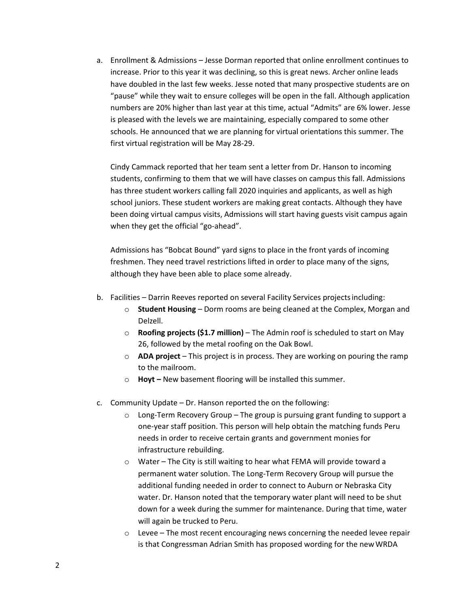a. Enrollment & Admissions – Jesse Dorman reported that online enrollment continues to increase. Prior to this year it was declining, so this is great news. Archer online leads have doubled in the last few weeks. Jesse noted that many prospective students are on "pause" while they wait to ensure colleges will be open in the fall. Although application numbers are 20% higher than last year at this time, actual "Admits" are 6% lower. Jesse is pleased with the levels we are maintaining, especially compared to some other schools. He announced that we are planning for virtual orientations this summer. The first virtual registration will be May 28-29.

Cindy Cammack reported that her team sent a letter from Dr. Hanson to incoming students, confirming to them that we will have classes on campus this fall. Admissions has three student workers calling fall 2020 inquiries and applicants, as well as high school juniors. These student workers are making great contacts. Although they have been doing virtual campus visits, Admissions will start having guests visit campus again when they get the official "go-ahead".

Admissions has "Bobcat Bound" yard signs to place in the front yards of incoming freshmen. They need travel restrictions lifted in order to place many of the signs, although they have been able to place some already.

- b. Facilities Darrin Reeves reported on several Facility Services projects including:
	- o **Student Housing**  Dorm rooms are being cleaned at the Complex, Morgan and Delzell.
	- o **Roofing projects (\$1.7 million)**  The Admin roof is scheduled to start on May 26, followed by the metal roofing on the Oak Bowl.
	- o **ADA project**  This project is in process. They are working on pouring the ramp to the mailroom.
	- o **Hoyt –** New basement flooring will be installed this summer.
- c. Community Update Dr. Hanson reported the on the following:
	- $\circ$  Long-Term Recovery Group The group is pursuing grant funding to support a one-year staff position. This person will help obtain the matching funds Peru needs in order to receive certain grants and government monies for infrastructure rebuilding.
	- o Water The City is still waiting to hear what FEMA will provide toward a permanent water solution. The Long-Term Recovery Group will pursue the additional funding needed in order to connect to Auburn or Nebraska City water. Dr. Hanson noted that the temporary water plant will need to be shut down for a week during the summer for maintenance. During that time, water will again be trucked to Peru.
	- $\circ$  Levee The most recent encouraging news concerning the needed levee repair is that Congressman Adrian Smith has proposed wording for the newWRDA